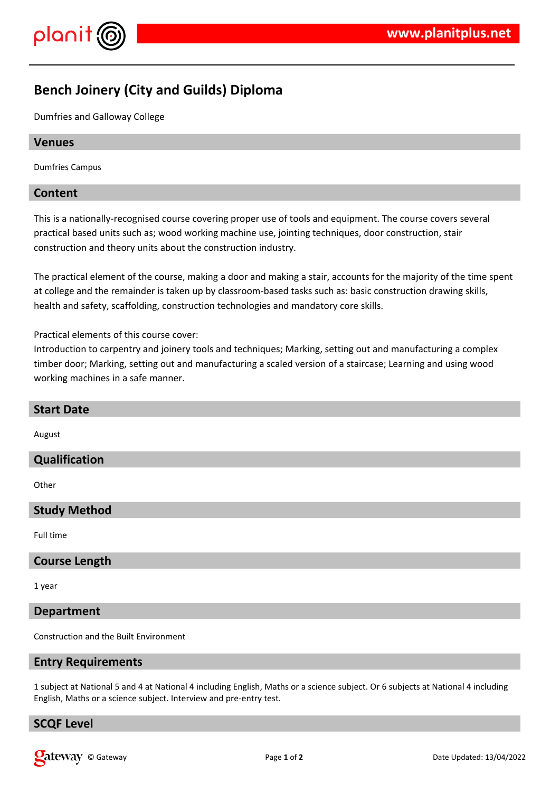

# **Bench Joinery (City and Guilds) Diploma**

Dumfries and Galloway College

## **Venues**

Dumfries Campus

## **Content**

This is a nationally-recognised course covering proper use of tools and equipment. The course covers several practical based units such as; wood working machine use, jointing techniques, door construction, stair construction and theory units about the construction industry.

The practical element of the course, making a door and making a stair, accounts for the majority of the time spent at college and the remainder is taken up by classroom-based tasks such as: basic construction drawing skills, health and safety, scaffolding, construction technologies and mandatory core skills.

Practical elements of this course cover:

Introduction to carpentry and joinery tools and techniques; Marking, setting out and manufacturing a complex timber door; Marking, setting out and manufacturing a scaled version of a staircase; Learning and using wood working machines in a safe manner.

| <b>Start Date</b>    |
|----------------------|
| August               |
| Qualification        |
| Other                |
| <b>Study Method</b>  |
| Full time            |
| <b>Course Length</b> |
|                      |

1 year

# **Department**

Construction and the Built Environment

#### **Entry Requirements**

1 subject at National 5 and 4 at National 4 including English, Maths or a science subject. Or 6 subjects at National 4 including English, Maths or a science subject. Interview and pre-entry test.

#### **SCQF Level**